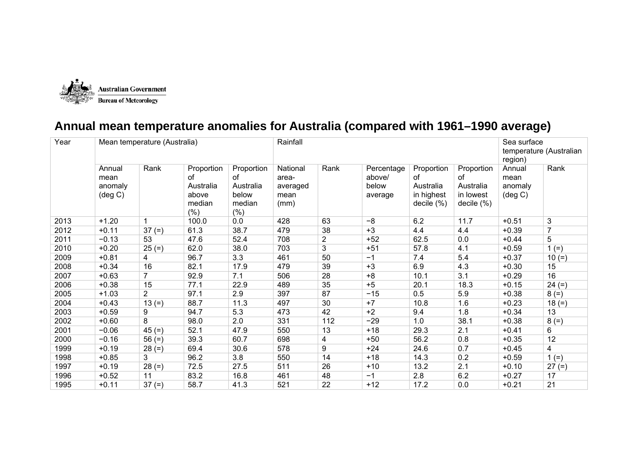

## **Annual mean temperature anomalies for Australia (compared with 1961–1990 average)**

| Year | Mean temperature (Australia)                   |                |                                                                |                                                          | Rainfall                                      |                | Sea surface<br>temperature (Australian<br>region) |                                                           |                                                             |                                                |                |
|------|------------------------------------------------|----------------|----------------------------------------------------------------|----------------------------------------------------------|-----------------------------------------------|----------------|---------------------------------------------------|-----------------------------------------------------------|-------------------------------------------------------------|------------------------------------------------|----------------|
|      | Annual<br>mean<br>anomaly<br>$(\text{deg } C)$ | Rank           | Proportion<br><b>of</b><br>Australia<br>above<br>median<br>(%) | Proportion<br>0f<br>Australia<br>below<br>median<br>(% ) | National<br>area-<br>averaged<br>mean<br>(mm) | Rank           | Percentage<br>above/<br>below<br>average          | Proportion<br>Ωf<br>Australia<br>in highest<br>decile (%) | Proportion<br>of<br>Australia<br>in lowest<br>decile $(\%)$ | Annual<br>mean<br>anomaly<br>$(\text{deg } C)$ | Rank           |
| 2013 | $+1.20$                                        |                | 100.0                                                          | 0.0                                                      | 428                                           | 63             | $-8$                                              | 6.2                                                       | 11.7                                                        | $+0.51$                                        | 3              |
| 2012 | $+0.11$                                        | $37 (=)$       | 61.3                                                           | 38.7                                                     | 479                                           | 38             | $+3$                                              | 4.4                                                       | 4.4                                                         | $+0.39$                                        | $\overline{7}$ |
| 2011 | $-0.13$                                        | 53             | 47.6                                                           | 52.4                                                     | 708                                           | $\overline{c}$ | $+52$                                             | 62.5                                                      | 0.0                                                         | $+0.44$                                        | 5              |
| 2010 | $+0.20$                                        | $25 (=)$       | 62.0                                                           | 38.0                                                     | 703                                           | 3              | $+51$                                             | 57.8                                                      | 4.1                                                         | $+0.59$                                        | $1 (=)$        |
| 2009 | $+0.81$                                        | 4              | 96.7                                                           | 3.3                                                      | 461                                           | 50             | $-1$                                              | 7.4                                                       | 5.4                                                         | $+0.37$                                        | $10 (=)$       |
| 2008 | $+0.34$                                        | 16             | 82.1                                                           | 17.9                                                     | 479                                           | 39             | $+3$                                              | 6.9                                                       | 4.3                                                         | $+0.30$                                        | 15             |
| 2007 | $+0.63$                                        | 7              | 92.9                                                           | 7.1                                                      | 506                                           | 28             | $+8$                                              | 10.1                                                      | 3.1                                                         | $+0.29$                                        | 16             |
| 2006 | $+0.38$                                        | 15             | 77.1                                                           | 22.9                                                     | 489                                           | 35             | $+5$                                              | 20.1                                                      | 18.3                                                        | $+0.15$                                        | $24 (=)$       |
| 2005 | $+1.03$                                        | $\overline{2}$ | 97.1                                                           | 2.9                                                      | 397                                           | 87             | $-15$                                             | 0.5                                                       | 5.9                                                         | $+0.38$                                        | $8 (=)$        |
| 2004 | $+0.43$                                        | $13 (=)$       | 88.7                                                           | 11.3                                                     | 497                                           | 30             | $+7$                                              | 10.8                                                      | 1.6                                                         | $+0.23$                                        | $18 (=)$       |
| 2003 | $+0.59$                                        | 9              | 94.7                                                           | 5.3                                                      | 473                                           | 42             | $+2$                                              | 9.4                                                       | 1.8                                                         | $+0.34$                                        | 13             |
| 2002 | $+0.60$                                        | 8              | 98.0                                                           | 2.0                                                      | 331                                           | 112            | $-29$                                             | 1.0                                                       | 38.1                                                        | $+0.38$                                        | $8 (=)$        |
| 2001 | $-0.06$                                        | $45 (=)$       | 52.1                                                           | 47.9                                                     | 550                                           | 13             | $+18$                                             | 29.3                                                      | 2.1                                                         | $+0.41$                                        | 6              |
| 2000 | $-0.16$                                        | $56 (=)$       | 39.3                                                           | 60.7                                                     | 698                                           | 4              | $+50$                                             | 56.2                                                      | 0.8                                                         | $+0.35$                                        | 12             |
| 1999 | $+0.19$                                        | $28 (=)$       | 69.4                                                           | 30.6                                                     | 578                                           | 9              | $+24$                                             | 24.6                                                      | 0.7                                                         | $+0.45$                                        | 4              |
| 1998 | $+0.85$                                        | 3              | 96.2                                                           | 3.8                                                      | 550                                           | 14             | $+18$                                             | 14.3                                                      | 0.2                                                         | $+0.59$                                        | $1 (=)$        |
| 1997 | $+0.19$                                        | $28 (=)$       | 72.5                                                           | 27.5                                                     | 511                                           | 26             | $+10$                                             | 13.2                                                      | 2.1                                                         | $+0.10$                                        | $27 (=)$       |
| 1996 | $+0.52$                                        | 11             | 83.2                                                           | 16.8                                                     | 461                                           | 48             | $-1$                                              | 2.8                                                       | 6.2                                                         | $+0.27$                                        | 17             |
| 1995 | $+0.11$                                        | $37 (=)$       | 58.7                                                           | 41.3                                                     | 521                                           | 22             | $+12$                                             | 17.2                                                      | 0.0                                                         | $+0.21$                                        | 21             |